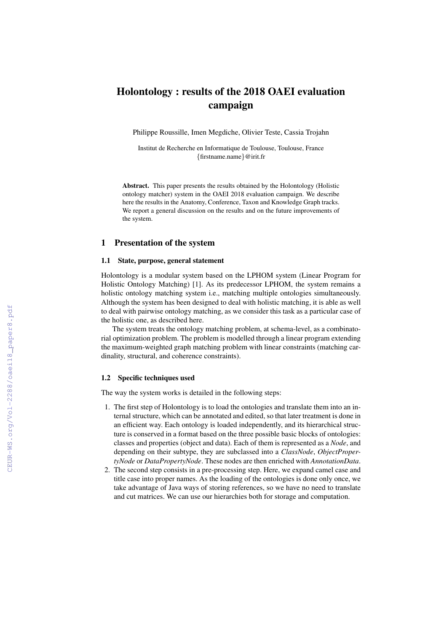# Holontology : results of the 2018 OAEI evaluation campaign

Philippe Roussille, Imen Megdiche, Olivier Teste, Cassia Trojahn

Institut de Recherche en Informatique de Toulouse, Toulouse, France {firstname.name}@irit.fr

Abstract. This paper presents the results obtained by the Holontology (Holistic ontology matcher) system in the OAEI 2018 evaluation campaign. We describe here the results in the Anatomy, Conference, Taxon and Knowledge Graph tracks. We report a general discussion on the results and on the future improvements of the system.

# 1 Presentation of the system

## 1.1 State, purpose, general statement

Holontology is a modular system based on the LPHOM system (Linear Program for Holistic Ontology Matching) [1]. As its predecessor LPHOM, the system remains a holistic ontology matching system i.e., matching multiple ontologies simultaneously. Although the system has been designed to deal with holistic matching, it is able as well to deal with pairwise ontology matching, as we consider this task as a particular case of the holistic one, as described here.

The system treats the ontology matching problem, at schema-level, as a combinatorial optimization problem. The problem is modelled through a linear program extending the maximum-weighted graph matching problem with linear constraints (matching cardinality, structural, and coherence constraints).

## 1.2 Specific techniques used

The way the system works is detailed in the following steps:

- 1. The first step of Holontology is to load the ontologies and translate them into an internal structure, which can be annotated and edited, so that later treatment is done in an efficient way. Each ontology is loaded independently, and its hierarchical structure is conserved in a format based on the three possible basic blocks of ontologies: classes and properties (object and data). Each of them is represented as a *Node*, and depending on their subtype, they are subclassed into a *ClassNode*, *ObjectPropertyNode* or *DataPropertyNode*. These nodes are then enriched with *AnnotationData*.
- 2. The second step consists in a pre-processing step. Here, we expand camel case and title case into proper names. As the loading of the ontologies is done only once, we take advantage of Java ways of storing references, so we have no need to translate and cut matrices. We can use our hierarchies both for storage and computation.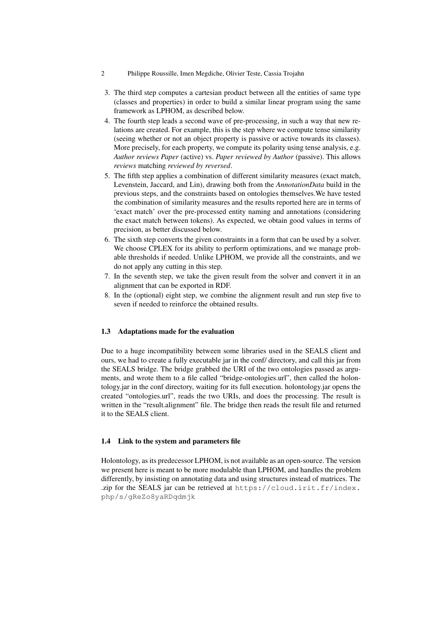- 2 Philippe Roussille, Imen Megdiche, Olivier Teste, Cassia Trojahn
- 3. The third step computes a cartesian product between all the entities of same type (classes and properties) in order to build a similar linear program using the same framework as LPHOM, as described below.
- 4. The fourth step leads a second wave of pre-processing, in such a way that new relations are created. For example, this is the step where we compute tense similarity (seeing whether or not an object property is passive or active towards its classes). More precisely, for each property, we compute its polarity using tense analysis, e.g. *Author reviews Paper* (active) vs. *Paper reviewed by Author* (passive). This allows *reviews* matching *reviewed by reversed*.
- 5. The fifth step applies a combination of different similarity measures (exact match, Levenstein, Jaccard, and Lin), drawing both from the *AnnotationData* build in the previous steps, and the constraints based on ontologies themselves.We have tested the combination of similarity measures and the results reported here are in terms of 'exact match' over the pre-processed entity naming and annotations (considering the exact match between tokens). As expected, we obtain good values in terms of precision, as better discussed below.
- 6. The sixth step converts the given constraints in a form that can be used by a solver. We choose CPLEX for its ability to perform optimizations, and we manage probable thresholds if needed. Unlike LPHOM, we provide all the constraints, and we do not apply any cutting in this step.
- 7. In the seventh step, we take the given result from the solver and convert it in an alignment that can be exported in RDF.
- 8. In the (optional) eight step, we combine the alignment result and run step five to seven if needed to reinforce the obtained results.

# 1.3 Adaptations made for the evaluation

Due to a huge incompatibility between some libraries used in the SEALS client and ours, we had to create a fully executable jar in the conf/ directory, and call this jar from the SEALS bridge. The bridge grabbed the URI of the two ontologies passed as arguments, and wrote them to a file called "bridge-ontologies.url", then called the holontology.jar in the conf directory, waiting for its full execution. holontology.jar opens the created "ontologies.url", reads the two URIs, and does the processing. The result is written in the "result.alignment" file. The bridge then reads the result file and returned it to the SEALS client.

## 1.4 Link to the system and parameters file

Holontology, as its predecessor LPHOM, is not available as an open-source. The version we present here is meant to be more modulable than LPHOM, and handles the problem differently, by insisting on annotating data and using structures instead of matrices. The .zip for the SEALS jar can be retrieved at https://cloud.irit.fr/index. php/s/gReZo8yaRDqdmjk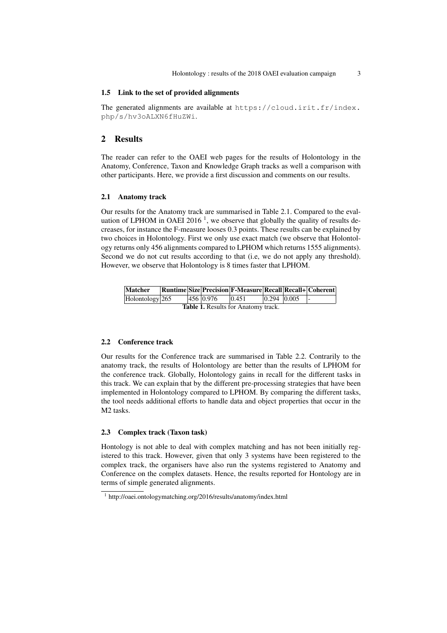#### 1.5 Link to the set of provided alignments

The generated alignments are available at https://cloud.irit.fr/index. php/s/hv3oALXN6fHuZWi.

## 2 Results

The reader can refer to the OAEI web pages for the results of Holontology in the Anatomy, Conference, Taxon and Knowledge Graph tracks as well a comparison with other participants. Here, we provide a first discussion and comments on our results.

#### 2.1 Anatomy track

Our results for the Anatomy track are summarised in Table 2.1. Compared to the evaluation of LPHOM in OAEI 2016<sup>1</sup>, we observe that globally the quality of results decreases, for instance the F-measure looses 0.3 points. These results can be explained by two choices in Holontology. First we only use exact match (we observe that Holontology returns only 456 alignments compared to LPHOM which returns 1555 alignments). Second we do not cut results according to that (i.e, we do not apply any threshold). However, we observe that Holontology is 8 times faster that LPHOM.

| Matcher                                    |  |  |           | Runtime Size Precision F-Measure Recall Recall+ Coherent |             |  |  |
|--------------------------------------------|--|--|-----------|----------------------------------------------------------|-------------|--|--|
| $Holontology$ 265                          |  |  | 456 0.976 | 0.451                                                    | 0.294 0.005 |  |  |
| <b>Table 1.</b> Results for Anatomy track. |  |  |           |                                                          |             |  |  |

## 2.2 Conference track

Our results for the Conference track are summarised in Table 2.2. Contrarily to the anatomy track, the results of Holontology are better than the results of LPHOM for the conference track. Globally, Holontology gains in recall for the different tasks in this track. We can explain that by the different pre-processing strategies that have been implemented in Holontology compared to LPHOM. By comparing the different tasks, the tool needs additional efforts to handle data and object properties that occur in the M2 tasks.

## 2.3 Complex track (Taxon task)

Hontology is not able to deal with complex matching and has not been initially registered to this track. However, given that only 3 systems have been registered to the complex track, the organisers have also run the systems registered to Anatomy and Conference on the complex datasets. Hence, the results reported for Hontology are in terms of simple generated alignments.

<sup>1</sup> http://oaei.ontologymatching.org/2016/results/anatomy/index.html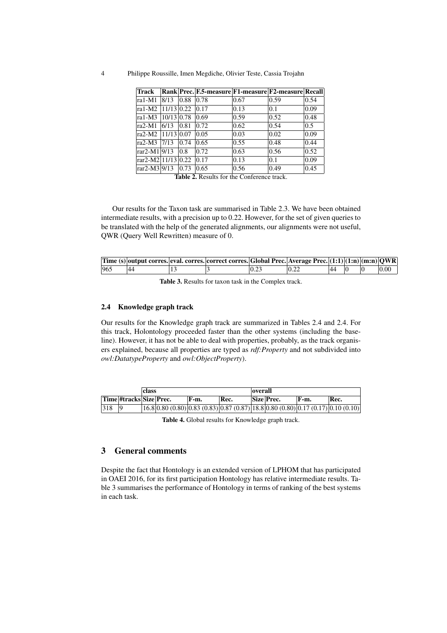4 Philippe Roussille, Imen Megdiche, Olivier Teste, Cassia Trojahn

| <b>Track</b>           |              |      | Rank Prec. F.5-measure F1-measure F2-measure Recall |                |      |                |
|------------------------|--------------|------|-----------------------------------------------------|----------------|------|----------------|
| ra1-M1                 | 8/13         | 0.88 | 0.78                                                | 0.67           | 0.59 | 0.54           |
| ra1-M2 11/13 0.22      |              |      | 0.17                                                | $ 0.13\rangle$ | 0.1  | $ 0.09\rangle$ |
| ra1- $M3$              | $10/13$ 0.78 |      | 0.69                                                | 0.59           | 0.52 | 0.48           |
| $ra2-M1$               | 6/13         | 0.81 | 0.72                                                | 0.62           | 0.54 | 0.5            |
| ra2-M2 11/13 0.07      |              |      | 0.05                                                | 0.03           | 0.02 | $ 0.09\rangle$ |
| ra2-M3                 | 7/13         | 0.74 | 0.65                                                | 0.55           | 0.48 | 0.44           |
| rar2-M1 9/13           |              | 0.8  | 0.72                                                | 0.63           | 0.56 | 0.52           |
| rar2-M2 11/13 0.22     |              |      | 0.17                                                | $ 0.13\rangle$ | 0.1  | 0.09           |
| $\text{rar2-M3}$  9/13 |              | 0.73 | 0.65                                                | 0.56           | 0.49 | 0.45           |

Table 2. Results for the Conference track.

Our results for the Taxon task are summarised in Table 2.3. We have been obtained intermediate results, with a precision up to 0.22. However, for the set of given queries to be translated with the help of the generated alignments, our alignments were not useful, QWR (Query Well Rewritten) measure of 0.

|     |    | Time (s) output corres. eval. corres. correct corres. Global Prec. Average Prec. $(1:1)(1:1)(1:1)(1:1)(01)$ |      |      |    |  |      |
|-----|----|-------------------------------------------------------------------------------------------------------------|------|------|----|--|------|
| 965 | 44 |                                                                                                             | 0.23 | 0.22 | 44 |  | 0.00 |

Table 3. Results for taxon task in the Complex track.

## 2.4 Knowledge graph track

Our results for the Knowledge graph track are summarized in Tables 2.4 and 2.4. For this track, Holontology proceeded faster than the other systems (including the baseline). However, it has not be able to deal with properties, probably, as the track organisers explained, because all properties are typed as *rdf:Property* and not subdivided into *owl:DatatypeProperty* and *owl:ObjectProperty*).

| lclass |                         |  |  | overall |      |  |            |       |                                                                                 |
|--------|-------------------------|--|--|---------|------|--|------------|-------|---------------------------------------------------------------------------------|
|        | Time #tracks Size Prec. |  |  | F-m.    | Rec. |  | Size Prec. | 'F-m. | Rec.                                                                            |
| 318    |                         |  |  |         |      |  |            |       | $(16.8 0.80(0.80) 0.83(0.83) 0.87(0.87) 18.8 0.80(0.80) 0.17(0.17) 0.10(0.10) $ |

Table 4. Global results for Knowledge graph track.

# 3 General comments

Despite the fact that Hontology is an extended version of LPHOM that has participated in OAEI 2016, for its first participation Hontology has relative intermediate results. Table 3 summarises the performance of Hontology in terms of ranking of the best systems in each task.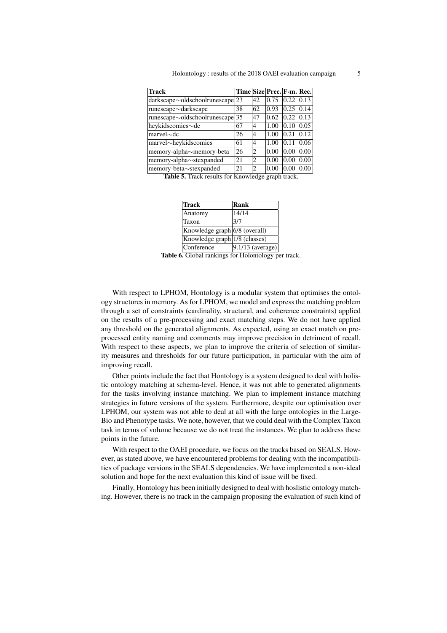| Holontology: results of the 2018 OAEI evaluation campaign |  |
|-----------------------------------------------------------|--|
|                                                           |  |

| <b>Track</b>                          |    |                                                                                                                                                                                                                                                                                                                                                                                                             | Time Size Prec. F-m. Rec. |      |                |
|---------------------------------------|----|-------------------------------------------------------------------------------------------------------------------------------------------------------------------------------------------------------------------------------------------------------------------------------------------------------------------------------------------------------------------------------------------------------------|---------------------------|------|----------------|
| $dark scope \sim old schoolrunescape$ | 23 | 42                                                                                                                                                                                                                                                                                                                                                                                                          | 0.75                      | 0.22 | $ 0.13\rangle$ |
| runescape∼darkscape                   | 38 | 62                                                                                                                                                                                                                                                                                                                                                                                                          | 0.93                      | 0.25 | 0.14           |
| $runescape \sim oldschoolrunescape$   | 35 | 47                                                                                                                                                                                                                                                                                                                                                                                                          | 0.62                      | 0.22 | 0.13           |
| heykidscomics~dc                      | 67 | 4                                                                                                                                                                                                                                                                                                                                                                                                           | 1.00                      | 0.10 | 0.05           |
| $marvel~\sim$ dc                      | 26 | 4                                                                                                                                                                                                                                                                                                                                                                                                           | 1.00                      | 0.21 | 0.12           |
| marvel~heykidscomics                  | 61 | 4                                                                                                                                                                                                                                                                                                                                                                                                           | 1.00                      | 0.11 | 0.06           |
| memory-alpha~memory-beta              | 26 | $\overline{c}$                                                                                                                                                                                                                                                                                                                                                                                              | 0.00                      | 0.00 | 0.00           |
| memory-alpha $\sim$ stexpanded        | 21 | $\mathfrak{D}$                                                                                                                                                                                                                                                                                                                                                                                              | 0.00                      | 0.00 | 0.00           |
| memory-beta~stexpanded                | 21 | $\mathfrak{D}_{1}^{(1)} = \mathfrak{D}_{2}^{(1)} = \mathfrak{D}_{2}^{(1)} = \mathfrak{D}_{2}^{(1)} = \mathfrak{D}_{2}^{(1)} = \mathfrak{D}_{2}^{(1)} = \mathfrak{D}_{2}^{(1)} = \mathfrak{D}_{2}^{(1)} = \mathfrak{D}_{2}^{(1)} = \mathfrak{D}_{2}^{(1)} = \mathfrak{D}_{2}^{(1)} = \mathfrak{D}_{2}^{(1)} = \mathfrak{D}_{2}^{(1)} = \mathfrak{D}_{2}^{(1)} = \mathfrak{D}_{2}^{(1)} = \mathfrak{D}_{2}^{$ | 0.00                      | 0.00 | 0.00           |

Table 5. Track results for Knowledge graph track.

| Track                         | Rank                |
|-------------------------------|---------------------|
| Anatomy                       | 14/14               |
| Taxon                         | 3/7                 |
| Knowledge graph 6/8 (overall) |                     |
| Knowledge graph 1/8 (classes) |                     |
| Conference                    | $ 9.1/13$ (average) |

Table 6. Global rankings for Holontology per track.

With respect to LPHOM, Hontology is a modular system that optimises the ontology structures in memory. As for LPHOM, we model and express the matching problem through a set of constraints (cardinality, structural, and coherence constraints) applied on the results of a pre-processing and exact matching steps. We do not have applied any threshold on the generated alignments. As expected, using an exact match on preprocessed entity naming and comments may improve precision in detriment of recall. With respect to these aspects, we plan to improve the criteria of selection of similarity measures and thresholds for our future participation, in particular with the aim of improving recall.

Other points include the fact that Hontology is a system designed to deal with holistic ontology matching at schema-level. Hence, it was not able to generated alignments for the tasks involving instance matching. We plan to implement instance matching strategies in future versions of the system. Furthermore, despite our optimisation over LPHOM, our system was not able to deal at all with the large ontologies in the Large-Bio and Phenotype tasks. We note, however, that we could deal with the Complex Taxon task in terms of volume because we do not treat the instances. We plan to address these points in the future.

With respect to the OAEI procedure, we focus on the tracks based on SEALS. However, as stated above, we have encountered problems for dealing with the incompatibilities of package versions in the SEALS dependencies. We have implemented a non-ideal solution and hope for the next evaluation this kind of issue will be fixed.

Finally, Hontology has been initially designed to deal with hoslistic ontology matching. However, there is no track in the campaign proposing the evaluation of such kind of